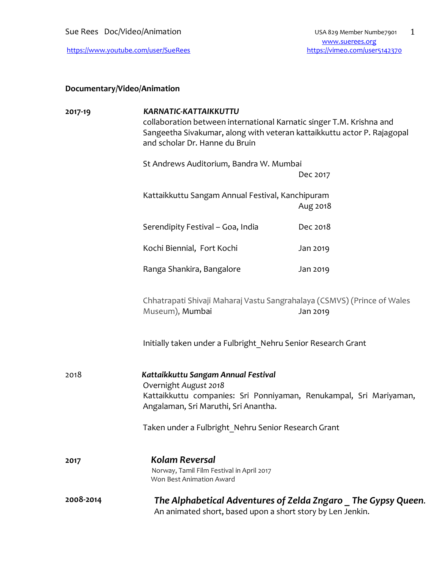Sue Rees Doc/Video/Animation USA 829 Member Numbe7901

## **Documentary/Video/Animation**

| 2017-19   | <b>KARNATIC-KATTAIKKUTTU</b><br>collaboration between international Karnatic singer T.M. Krishna and<br>Sangeetha Sivakumar, along with veteran kattaikkuttu actor P. Rajagopal<br>and scholar Dr. Hanne du Bruin |          |
|-----------|-------------------------------------------------------------------------------------------------------------------------------------------------------------------------------------------------------------------|----------|
|           | St Andrews Auditorium, Bandra W. Mumbai                                                                                                                                                                           | Dec 2017 |
|           | Kattaikkuttu Sangam Annual Festival, Kanchipuram                                                                                                                                                                  | Aug 2018 |
|           | Serendipity Festival - Goa, India                                                                                                                                                                                 | Dec 2018 |
|           | Kochi Biennial, Fort Kochi                                                                                                                                                                                        | Jan 2019 |
|           | Ranga Shankira, Bangalore                                                                                                                                                                                         | Jan 2019 |
|           | Chhatrapati Shivaji Maharaj Vastu Sangrahalaya (CSMVS) (Prince of Wales<br>Museum), Mumbai                                                                                                                        | Jan 2019 |
|           | Initially taken under a Fulbright Nehru Senior Research Grant                                                                                                                                                     |          |
| 2018      | Kattaikkuttu Sangam Annual Festival<br>Overnight August 2018<br>Kattaikkuttu companies: Sri Ponniyaman, Renukampal, Sri Mariyaman,<br>Angalaman, Sri Maruthi, Sri Anantha.                                        |          |
|           | Taken under a Fulbright_Nehru Senior Research Grant                                                                                                                                                               |          |
| 2017      | <b>Kolam Reversal</b><br>Norway, Tamil Film Festival in April 2017<br>Won Best Animation Award                                                                                                                    |          |
| 2008-2014 | The Alphabetical Adventures of Zelda Zngaro The Gypsy Queen.<br>An animated short, based upon a short story by Len Jenkin.                                                                                        |          |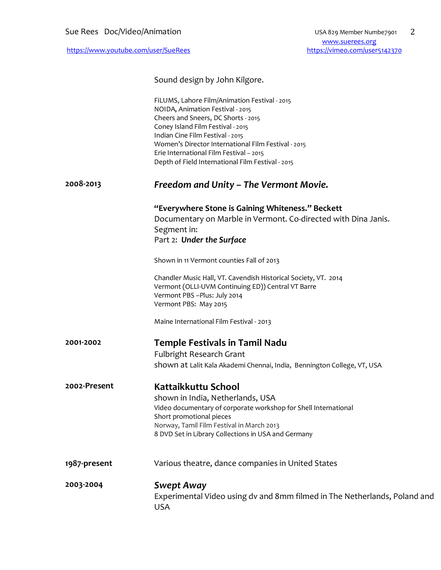Sound design by John Kilgore. FiLUMS, Lahore Film/Animation Festival - 2015 NOIDA, Animation Festival - 2015 Cheers and Sneers, DC Shorts - 2015 Coney Island Film Festival - 2015 Indian Cine Film Festival - 2015 Women's Director International Film Festival - 2015 Erie International Film Festival – 2015 Depth of Field International Film Festival - 2015 **2008-2013** *Freedom and Unity – The Vermont Movie.* **"Everywhere Stone is Gaining Whiteness." Beckett** Documentary on Marble in Vermont. Co-directed with Dina Janis. Segment in: Part 2: *Under the Surface*  Shown in 11 Vermont counties Fall of 2013 Chandler Music Hall, VT. Cavendish Historical Society, VT. 2014 Vermont (OLLI-UVM Continuing ED)) Central VT Barre Vermont PBS –Plus: July 2014 Vermont PBS: May 2015 Maine International Film Festival - 2013 **2001-2002 Temple Festivals in Tamil Nadu**  Fulbright Research Grant shown at Lalit Kala Akademi Chennai, India,Bennington College, VT, USA **2002-Present Kattaikkuttu School**  shown in India, Netherlands, USA Video documentary of corporate workshop for Shell International Short promotional pieces Norway, Tamil Film Festival in March 2013 8 DVD Set in Library Collections in USA and Germany **1987-present** Various theatre, dance companies in United States **2003-2004** *Swept Away* Experimental Video using dv and 8mm filmed in The Netherlands, Poland and USA